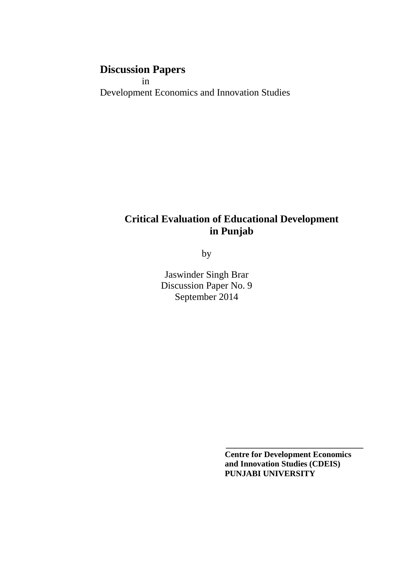# **Discussion Papers**

 in Development Economics and Innovation Studies

## **Critical Evaluation of Educational Development in Punjab**

by

Jaswinder Singh Brar Discussion Paper No. 9 September 2014

> **Centre for Development Economics and Innovation Studies (CDEIS) PUNJABI UNIVERSITY**

**\_\_\_\_\_\_\_\_\_\_\_\_\_\_\_\_\_\_\_\_\_\_\_\_\_\_\_\_\_\_\_\_\_**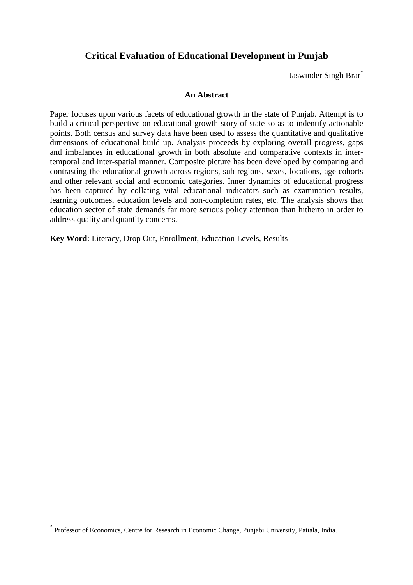## **Critical Evaluation of Educational Development in Punjab**

Jaswinder Singh Brar\*

## **An Abstract**

Paper focuses upon various facets of educational growth in the state of Punjab. Attempt is to build a critical perspective on educational growth story of state so as to indentify actionable points. Both census and survey data have been used to assess the quantitative and qualitative dimensions of educational build up. Analysis proceeds by exploring overall progress, gaps and imbalances in educational growth in both absolute and comparative contexts in intertemporal and inter-spatial manner. Composite picture has been developed by comparing and contrasting the educational growth across regions, sub-regions, sexes, locations, age cohorts and other relevant social and economic categories. Inner dynamics of educational progress has been captured by collating vital educational indicators such as examination results, learning outcomes, education levels and non-completion rates, etc. The analysis shows that education sector of state demands far more serious policy attention than hitherto in order to address quality and quantity concerns.

**Key Word**: Literacy, Drop Out, Enrollment, Education Levels, Results

l

<sup>\*</sup> Professor of Economics, Centre for Research in Economic Change, Punjabi University, Patiala, India.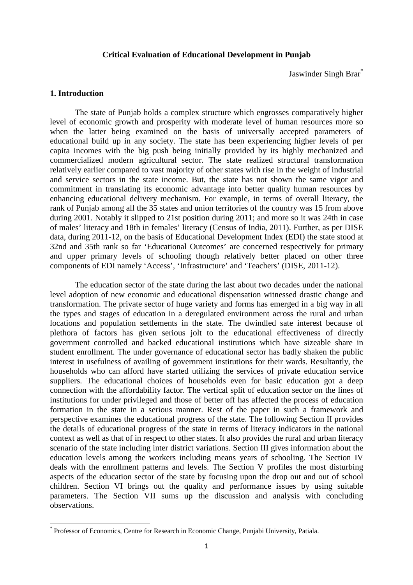#### **Critical Evaluation of Educational Development in Punjab**

Jaswinder Singh Brar\*

### **1. Introduction**

 $\overline{a}$ 

The state of Punjab holds a complex structure which engrosses comparatively higher level of economic growth and prosperity with moderate level of human resources more so when the latter being examined on the basis of universally accepted parameters of educational build up in any society. The state has been experiencing higher levels of per capita incomes with the big push being initially provided by its highly mechanized and commercialized modern agricultural sector. The state realized structural transformation relatively earlier compared to vast majority of other states with rise in the weight of industrial and service sectors in the state income. But, the state has not shown the same vigor and commitment in translating its economic advantage into better quality human resources by enhancing educational delivery mechanism. For example, in terms of overall literacy, the rank of Punjab among all the 35 states and union territories of the country was 15 from above during 2001. Notably it slipped to 21st position during 2011; and more so it was 24th in case of males' literacy and 18th in females' literacy (Census of India, 2011). Further, as per DISE data, during 2011-12, on the basis of Educational Development Index (EDI) the state stood at 32nd and 35th rank so far 'Educational Outcomes' are concerned respectively for primary and upper primary levels of schooling though relatively better placed on other three components of EDI namely 'Access', 'Infrastructure' and 'Teachers' (DISE, 2011-12).

 The education sector of the state during the last about two decades under the national level adoption of new economic and educational dispensation witnessed drastic change and transformation. The private sector of huge variety and forms has emerged in a big way in all the types and stages of education in a deregulated environment across the rural and urban locations and population settlements in the state. The dwindled sate interest because of plethora of factors has given serious jolt to the educational effectiveness of directly government controlled and backed educational institutions which have sizeable share in student enrollment. The under governance of educational sector has badly shaken the public interest in usefulness of availing of government institutions for their wards. Resultantly, the households who can afford have started utilizing the services of private education service suppliers. The educational choices of households even for basic education got a deep connection with the affordability factor. The vertical split of education sector on the lines of institutions for under privileged and those of better off has affected the process of education formation in the state in a serious manner. Rest of the paper in such a framework and perspective examines the educational progress of the state. The following Section II provides the details of educational progress of the state in terms of literacy indicators in the national context as well as that of in respect to other states. It also provides the rural and urban literacy scenario of the state including inter district variations. Section III gives information about the education levels among the workers including means years of schooling. The Section IV deals with the enrollment patterns and levels. The Section V profiles the most disturbing aspects of the education sector of the state by focusing upon the drop out and out of school children. Section VI brings out the quality and performance issues by using suitable parameters. The Section VII sums up the discussion and analysis with concluding observations.

<sup>\*</sup> Professor of Economics, Centre for Research in Economic Change, Punjabi University, Patiala.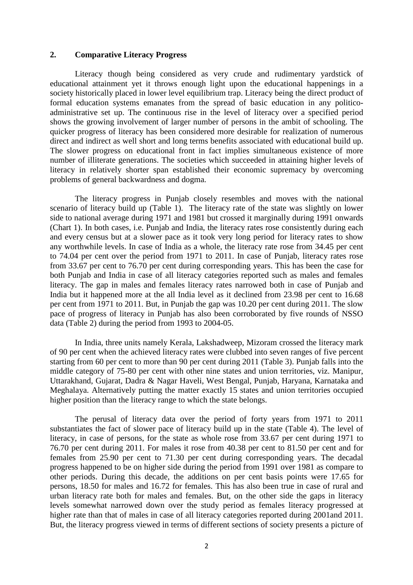#### **2. Comparative Literacy Progress**

Literacy though being considered as very crude and rudimentary yardstick of educational attainment yet it throws enough light upon the educational happenings in a society historically placed in lower level equilibrium trap. Literacy being the direct product of formal education systems emanates from the spread of basic education in any politicoadministrative set up. The continuous rise in the level of literacy over a specified period shows the growing involvement of larger number of persons in the ambit of schooling. The quicker progress of literacy has been considered more desirable for realization of numerous direct and indirect as well short and long terms benefits associated with educational build up. The slower progress on educational front in fact implies simultaneous existence of more number of illiterate generations. The societies which succeeded in attaining higher levels of literacy in relatively shorter span established their economic supremacy by overcoming problems of general backwardness and dogma.

 The literacy progress in Punjab closely resembles and moves with the national scenario of literacy build up (Table 1). The literacy rate of the state was slightly on lower side to national average during 1971 and 1981 but crossed it marginally during 1991 onwards (Chart 1). In both cases, i.e. Punjab and India, the literacy rates rose consistently during each and every census but at a slower pace as it took very long period for literacy rates to show any worthwhile levels. In case of India as a whole, the literacy rate rose from 34.45 per cent to 74.04 per cent over the period from 1971 to 2011. In case of Punjab, literacy rates rose from 33.67 per cent to 76.70 per cent during corresponding years. This has been the case for both Punjab and India in case of all literacy categories reported such as males and females literacy. The gap in males and females literacy rates narrowed both in case of Punjab and India but it happened more at the all India level as it declined from 23.98 per cent to 16.68 per cent from 1971 to 2011. But, in Punjab the gap was 10.20 per cent during 2011. The slow pace of progress of literacy in Punjab has also been corroborated by five rounds of NSSO data (Table 2) during the period from 1993 to 2004-05.

 In India, three units namely Kerala, Lakshadweep, Mizoram crossed the literacy mark of 90 per cent when the achieved literacy rates were clubbed into seven ranges of five percent starting from 60 per cent to more than 90 per cent during 2011 (Table 3). Punjab falls into the middle category of 75-80 per cent with other nine states and union territories, viz. Manipur, Uttarakhand, Gujarat, Dadra & Nagar Haveli, West Bengal, Punjab, Haryana, Karnataka and Meghalaya. Alternatively putting the matter exactly 15 states and union territories occupied higher position than the literacy range to which the state belongs.

The perusal of literacy data over the period of forty years from 1971 to 2011 substantiates the fact of slower pace of literacy build up in the state (Table 4). The level of literacy, in case of persons, for the state as whole rose from 33.67 per cent during 1971 to 76.70 per cent during 2011. For males it rose from 40.38 per cent to 81.50 per cent and for females from 25.90 per cent to 71.30 per cent during corresponding years. The decadal progress happened to be on higher side during the period from 1991 over 1981 as compare to other periods. During this decade, the additions on per cent basis points were 17.65 for persons, 18.50 for males and 16.72 for females. This has also been true in case of rural and urban literacy rate both for males and females. But, on the other side the gaps in literacy levels somewhat narrowed down over the study period as females literacy progressed at higher rate than that of males in case of all literacy categories reported during 2001and 2011. But, the literacy progress viewed in terms of different sections of society presents a picture of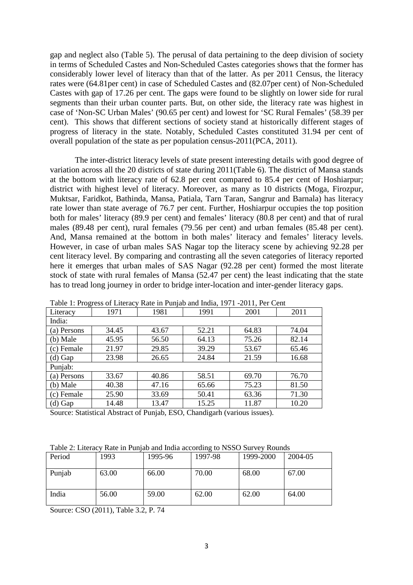gap and neglect also (Table 5). The perusal of data pertaining to the deep division of society in terms of Scheduled Castes and Non-Scheduled Castes categories shows that the former has considerably lower level of literacy than that of the latter. As per 2011 Census, the literacy rates were (64.81per cent) in case of Scheduled Castes and (82.07per cent) of Non-Scheduled Castes with gap of 17.26 per cent. The gaps were found to be slightly on lower side for rural segments than their urban counter parts. But, on other side, the literacy rate was highest in case of 'Non-SC Urban Males' (90.65 per cent) and lowest for 'SC Rural Females' (58.39 per cent). This shows that different sections of society stand at historically different stages of progress of literacy in the state. Notably, Scheduled Castes constituted 31.94 per cent of overall population of the state as per population census-2011(PCA, 2011).

 The inter-district literacy levels of state present interesting details with good degree of variation across all the 20 districts of state during 2011(Table 6). The district of Mansa stands at the bottom with literacy rate of 62.8 per cent compared to 85.4 per cent of Hoshiarpur; district with highest level of literacy. Moreover, as many as 10 districts (Moga, Firozpur, Muktsar, Faridkot, Bathinda, Mansa, Patiala, Tarn Taran, Sangrur and Barnala) has literacy rate lower than state average of 76.7 per cent. Further, Hoshiarpur occupies the top position both for males' literacy (89.9 per cent) and females' literacy (80.8 per cent) and that of rural males (89.48 per cent), rural females (79.56 per cent) and urban females (85.48 per cent). And, Mansa remained at the bottom in both males' literacy and females' literacy levels. However, in case of urban males SAS Nagar top the literacy scene by achieving 92.28 per cent literacy level. By comparing and contrasting all the seven categories of literacy reported here it emerges that urban males of SAS Nagar (92.28 per cent) formed the most literate stock of state with rural females of Mansa (52.47 per cent) the least indicating that the state has to tread long journey in order to bridge inter-location and inter-gender literacy gaps.

| Table 1. Flogless of Literacy Nate in Funjab and mula, $1971 - 2011$ , Fel Cent |       |       |       |       |       |  |  |
|---------------------------------------------------------------------------------|-------|-------|-------|-------|-------|--|--|
| Literacy                                                                        | 1971  | 1981  | 1991  | 2001  | 2011  |  |  |
| India:                                                                          |       |       |       |       |       |  |  |
| (a) Persons                                                                     | 34.45 | 43.67 | 52.21 | 64.83 | 74.04 |  |  |
| (b) Male                                                                        | 45.95 | 56.50 | 64.13 | 75.26 | 82.14 |  |  |
| (c) Female                                                                      | 21.97 | 29.85 | 39.29 | 53.67 | 65.46 |  |  |
| $(d)$ Gap                                                                       | 23.98 | 26.65 | 24.84 | 21.59 | 16.68 |  |  |
| Punjab:                                                                         |       |       |       |       |       |  |  |
| (a) Persons                                                                     | 33.67 | 40.86 | 58.51 | 69.70 | 76.70 |  |  |
| $(b)$ Male                                                                      | 40.38 | 47.16 | 65.66 | 75.23 | 81.50 |  |  |
| (c) Female                                                                      | 25.90 | 33.69 | 50.41 | 63.36 | 71.30 |  |  |
| $(d)$ Gap                                                                       | 14.48 | 13.47 | 15.25 | 11.87 | 10.20 |  |  |

Table 1: Progress of Literacy Rate in Punjab and India, 1971 -2011, Per Cent

Source: Statistical Abstract of Punjab, ESO, Chandigarh (various issues).

|  |  | Table 2: Literacy Rate in Punjab and India according to NSSO Survey Rounds |
|--|--|----------------------------------------------------------------------------|
|  |  |                                                                            |

| - - - - - - - - - - - - - |       |         |         |           |         |  |  |
|---------------------------|-------|---------|---------|-----------|---------|--|--|
| Period                    | 1993  | 1995-96 | 1997-98 | 1999-2000 | 2004-05 |  |  |
| Punjab                    | 63.00 | 66.00   | 70.00   | 68.00     | 67.00   |  |  |
| India                     | 56.00 | 59.00   | 62.00   | 62.00     | 64.00   |  |  |

Source: CSO (2011), Table 3.2, P. 74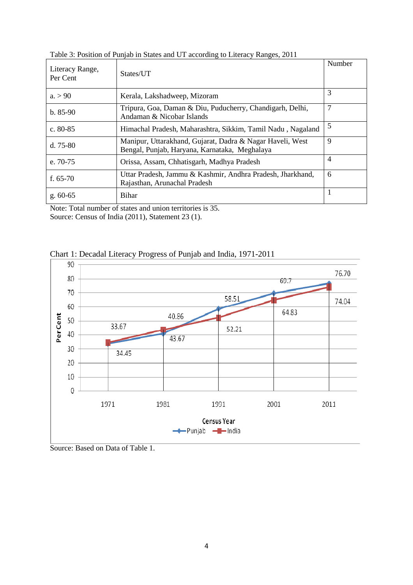| Literacy Range,<br>Per Cent                                                                                                                                                                                                                                                                                                                                                 | States/UT                                                                                                  | Number         |
|-----------------------------------------------------------------------------------------------------------------------------------------------------------------------------------------------------------------------------------------------------------------------------------------------------------------------------------------------------------------------------|------------------------------------------------------------------------------------------------------------|----------------|
| $a_{0} > 90$                                                                                                                                                                                                                                                                                                                                                                | Kerala, Lakshadweep, Mizoram                                                                               | 3              |
| $b.85-90$                                                                                                                                                                                                                                                                                                                                                                   | Tripura, Goa, Daman & Diu, Puducherry, Chandigarh, Delhi,<br>Andaman & Nicobar Islands                     | 7              |
| c. $80-85$                                                                                                                                                                                                                                                                                                                                                                  | Himachal Pradesh, Maharashtra, Sikkim, Tamil Nadu, Nagaland                                                | 5              |
| d. $75-80$                                                                                                                                                                                                                                                                                                                                                                  | Manipur, Uttarakhand, Gujarat, Dadra & Nagar Haveli, West<br>Bengal, Punjab, Haryana, Karnataka, Meghalaya | 9              |
| e. $70-75$                                                                                                                                                                                                                                                                                                                                                                  | Orissa, Assam, Chhatisgarh, Madhya Pradesh                                                                 | $\overline{4}$ |
| f. $65-70$                                                                                                                                                                                                                                                                                                                                                                  | Uttar Pradesh, Jammu & Kashmir, Andhra Pradesh, Jharkhand,<br>Rajasthan, Arunachal Pradesh                 | 6              |
| g. 60-65<br>$\mathbf{r}$ $\mathbf{r}$ $\mathbf{r}$ $\mathbf{r}$ $\mathbf{r}$ $\mathbf{r}$ $\mathbf{r}$ $\mathbf{r}$ $\mathbf{r}$ $\mathbf{r}$ $\mathbf{r}$ $\mathbf{r}$ $\mathbf{r}$ $\mathbf{r}$ $\mathbf{r}$ $\mathbf{r}$ $\mathbf{r}$ $\mathbf{r}$ $\mathbf{r}$ $\mathbf{r}$ $\mathbf{r}$ $\mathbf{r}$ $\mathbf{r}$ $\mathbf{r}$ $\mathbf{$<br>$\mathbf{v}$ $\mathbf{v}$ | <b>Bihar</b><br><b>Contract Contract Contract Contract Contract</b><br>$\cdots$ $\cdots$                   |                |

Table 3: Position of Punjab in States and UT according to Literacy Ranges, 2011

Note: Total number of states and union territories is 35. Source: Census of India (2011), Statement 23 (1).





Source: Based on Data of Table 1.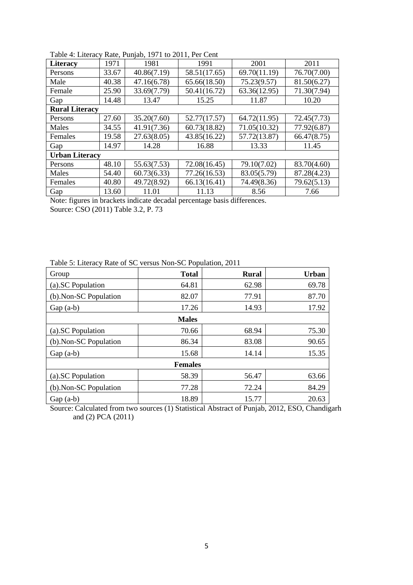| Literacy              | 1971  | 1981        | 1991         | 2001                                    | 2011        |  |  |
|-----------------------|-------|-------------|--------------|-----------------------------------------|-------------|--|--|
| Persons               | 33.67 | 40.86(7.19) | 58.51(17.65) | 69.70(11.19)                            | 76.70(7.00) |  |  |
| Male                  | 40.38 | 47.16(6.78) | 65.66(18.50) | 75.23(9.57)                             | 81.50(6.27) |  |  |
| Female                | 25.90 | 33.69(7.79) | 50.41(16.72) | 63.36(12.95)                            | 71.30(7.94) |  |  |
| Gap                   | 14.48 | 13.47       | 15.25        | 11.87                                   | 10.20       |  |  |
| <b>Rural Literacy</b> |       |             |              |                                         |             |  |  |
| Persons               | 27.60 | 35.20(7.60) | 52.77(17.57) | 64.72(11.95)                            | 72.45(7.73) |  |  |
| Males                 | 34.55 | 41.91(7.36) | 60.73(18.82) | 71.05(10.32)                            | 77.92(6.87) |  |  |
| Females               | 19.58 | 27.63(8.05) | 43.85(16.22) | 57.72(13.87)                            | 66.47(8.75) |  |  |
| Gap                   | 14.97 | 14.28       | 16.88        | 13.33                                   | 11.45       |  |  |
| <b>Urban Literacy</b> |       |             |              |                                         |             |  |  |
| Persons               | 48.10 | 55.63(7.53) | 72.08(16.45) | 79.10(7.02)                             | 83.70(4.60) |  |  |
| Males                 | 54.40 | 60.73(6.33) | 77.26(16.53) | 83.05(5.79)                             | 87.28(4.23) |  |  |
| Females               | 40.80 | 49.72(8.92) | 66.13(16.41) | 74.49(8.36)                             | 79.62(5.13) |  |  |
| Gap                   | 13.60 | 11.01       | 11.13        | 8.56                                    | 7.66        |  |  |
|                       |       | .           |              | $\cdot$ $\cdot$ $\cdot$ $\cdot$ $\cdot$ |             |  |  |

Table 4: Literacy Rate, Punjab, 1971 to 2011, Per Cent

Note: figures in brackets indicate decadal percentage basis differences. Source: CSO (2011) Table 3.2, P. 73

| Table 5: Literacy Rate of SC versus Non-SC Population, 2011 |                |              |       |  |  |  |  |
|-------------------------------------------------------------|----------------|--------------|-------|--|--|--|--|
| Group                                                       | <b>Total</b>   | <b>Rural</b> | Urban |  |  |  |  |
| (a).SC Population                                           | 64.81          | 62.98        | 69.78 |  |  |  |  |
| (b).Non-SC Population                                       | 82.07          | 77.91        | 87.70 |  |  |  |  |
| $Gap(a-b)$                                                  | 17.26          | 14.93        | 17.92 |  |  |  |  |
| <b>Males</b>                                                |                |              |       |  |  |  |  |
| (a).SC Population                                           | 70.66          | 68.94        | 75.30 |  |  |  |  |
| (b). Non-SC Population                                      | 86.34          | 83.08        | 90.65 |  |  |  |  |
| Gap $(a-b)$                                                 | 15.68          | 14.14        | 15.35 |  |  |  |  |
|                                                             | <b>Females</b> |              |       |  |  |  |  |
| (a).SC Population                                           | 58.39          | 56.47        | 63.66 |  |  |  |  |
| (b). Non-SC Population                                      | 77.28          | 72.24        | 84.29 |  |  |  |  |
| $Gap(a-b)$                                                  | 18.89          | 15.77        | 20.63 |  |  |  |  |

Table 5: Literacy Rate of SC versus Non-SC Population, 2011

Source: Calculated from two sources (1) Statistical Abstract of Punjab, 2012, ESO, Chandigarh and (2) PCA (2011)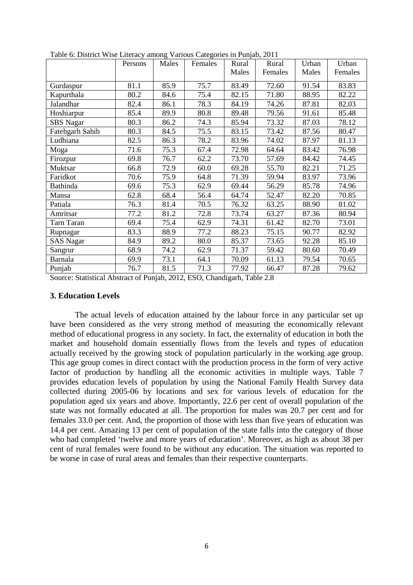| Tube 0. District $\alpha$ is there $\alpha$ and $\beta$ various categories in Funjab, 2011 | Persons | Males | Females | Rural | Rural   | Urban | Urban   |
|--------------------------------------------------------------------------------------------|---------|-------|---------|-------|---------|-------|---------|
|                                                                                            |         |       |         | Males | Females | Males | Females |
| Gurdaspur                                                                                  | 81.1    | 85.9  | 75.7    | 83.49 | 72.60   | 91.54 | 83.83   |
| Kapurthala                                                                                 | 80.2    | 84.6  | 75.4    | 82.15 | 71.80   | 88.95 | 82.22   |
| Jalandhar                                                                                  | 82.4    | 86.1  | 78.3    | 84.19 | 74.26   | 87.81 | 82.03   |
| Hoshiarpur                                                                                 | 85.4    | 89.9  | 80.8    | 89.48 | 79.56   | 91.61 | 85.48   |
| <b>SBS</b> Nagar                                                                           | 80.3    | 86.2  | 74.3    | 85.94 | 73.32   | 87.03 | 78.12   |
| Fatehgarh Sahib                                                                            | 80.3    | 84.5  | 75.5    | 83.15 | 73.42   | 87.56 | 80.47   |
| Ludhiana                                                                                   | 82.5    | 86.3  | 78.2    | 83.96 | 74.02   | 87.97 | 81.13   |
| Moga                                                                                       | 71.6    | 75.3  | 67.4    | 72.98 | 64.64   | 83.42 | 76.98   |
| Firozpur                                                                                   | 69.8    | 76.7  | 62.2    | 73.70 | 57.69   | 84.42 | 74.45   |
| Muktsar                                                                                    | 66.8    | 72.9  | 60.0    | 69.28 | 55.70   | 82.21 | 71.25   |
| Faridkot                                                                                   | 70.6    | 75.9  | 64.8    | 71.39 | 59.94   | 83.97 | 73.96   |
| Bathinda                                                                                   | 69.6    | 75.3  | 62.9    | 69.44 | 56.29   | 85.78 | 74.96   |
| Mansa                                                                                      | 62.8    | 68.4  | 56.4    | 64.74 | 52.47   | 82.20 | 70.85   |
| Patiala                                                                                    | 76.3    | 81.4  | 70.5    | 76.32 | 63.25   | 88.90 | 81.02   |
| Amritsar                                                                                   | 77.2    | 81.2  | 72.8    | 73.74 | 63.27   | 87.36 | 80.94   |
| Tarn Taran                                                                                 | 69.4    | 75.4  | 62.9    | 74.31 | 61.42   | 82.70 | 73.01   |
| Rupnagar                                                                                   | 83.3    | 88.9  | 77.2    | 88.23 | 75.15   | 90.77 | 82.92   |
| <b>SAS Nagar</b>                                                                           | 84.9    | 89.2  | 80.0    | 85.37 | 73.65   | 92.28 | 85.10   |
| Sangrur                                                                                    | 68.9    | 74.2  | 62.9    | 71.37 | 59.42   | 80.60 | 70.49   |
| Barnala                                                                                    | 69.9    | 73.1  | 64.1    | 70.09 | 61.13   | 79.54 | 70.65   |
| Punjab                                                                                     | 76.7    | 81.5  | 71.3    | 77.92 | 66.47   | 87.28 | 79.62   |

Table 6: District Wise Literacy among Various Categories in Punjab, 2011

Source: Statistical Abstract of Punjab, 2012, ESO, Chandigarh, Table 2.8

#### **3. Education Levels**

The actual levels of education attained by the labour force in any particular set up have been considered as the very strong method of measuring the economically relevant method of educational progress in any society. In fact, the externality of education in both the market and household domain essentially flows from the levels and types of education actually received by the growing stock of population particularly in the working age group. This age group comes in direct contact with the production process in the form of very active factor of production by handling all the economic activities in multiple ways. Table 7 provides education levels of population by using the National Family Health Survey data collected during 2005-06 by locations and sex for various levels of education for the population aged six years and above. Importantly, 22.6 per cent of overall population of the state was not formally educated at all. The proportion for males was 20.7 per cent and for females 33.0 per cent. And, the proportion of those with less than five years of education was 14.4 per cent. Amazing 13 per cent of population of the state falls into the category of those who had completed 'twelve and more years of education'. Moreover, as high as about 38 per cent of rural females were found to be without any education. The situation was reported to be worse in case of rural areas and females than their respective counterparts.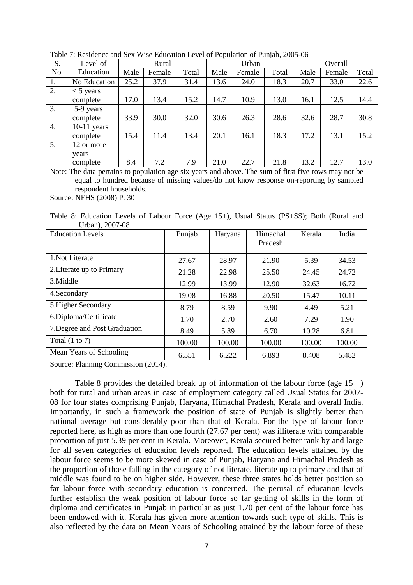|                  |                   |       | Treatment and being the Eugenandi Bever of I operation of I anjact 2000 00 |       |      |        |       |      |         |       |  |
|------------------|-------------------|-------|----------------------------------------------------------------------------|-------|------|--------|-------|------|---------|-------|--|
| S.               | Level of          | Rural |                                                                            |       |      | Urban  |       |      | Overall |       |  |
| No.              | Education         | Male  | Female                                                                     | Total | Male | Female | Total | Male | Female  | Total |  |
| 1.               | No Education      | 25.2  | 37.9                                                                       | 31.4  | 13.6 | 24.0   | 18.3  | 20.7 | 33.0    | 22.6  |  |
| 2.               | $<$ 5 years       |       |                                                                            |       |      |        |       |      |         |       |  |
|                  | complete          | 17.0  | 13.4                                                                       | 15.2  | 14.7 | 10.9   | 13.0  | 16.1 | 12.5    | 14.4  |  |
| 3.               | 5-9 years         |       |                                                                            |       |      |        |       |      |         |       |  |
|                  | complete          | 33.9  | 30.0                                                                       | 32.0  | 30.6 | 26.3   | 28.6  | 32.6 | 28.7    | 30.8  |  |
| $\overline{4}$ . | $10-11$ years     |       |                                                                            |       |      |        |       |      |         |       |  |
|                  | complete          | 15.4  | 11.4                                                                       | 13.4  | 20.1 | 16.1   | 18.3  | 17.2 | 13.1    | 15.2  |  |
| 5.               | 12 or more        |       |                                                                            |       |      |        |       |      |         |       |  |
|                  | years<br>complete | 8.4   | 7.2                                                                        | 7.9   | 21.0 | 22.7   | 21.8  | 13.2 | 12.7    | 13.0  |  |
|                  |                   |       |                                                                            |       |      |        |       |      |         |       |  |

Table 7: Residence and Sex Wise Education Level of Population of Punjab, 2005-06

Note: The data pertains to population age six years and above. The sum of first five rows may not be equal to hundred because of missing values/do not know response on-reporting by sampled respondent households.

Source: NFHS (2008) P. 30

Table 8: Education Levels of Labour Force (Age 15+), Usual Status (PS+SS); Both (Rural and Urban), 2007-08

| <b>Education Levels</b>       | Punjab | Haryana | Himachal<br>Pradesh | Kerala | India  |
|-------------------------------|--------|---------|---------------------|--------|--------|
| 1. Not Literate               | 27.67  | 28.97   | 21.90               | 5.39   | 34.53  |
| 2. Literate up to Primary     | 21.28  | 22.98   | 25.50               | 24.45  | 24.72  |
| 3. Middle                     | 12.99  | 13.99   | 12.90               | 32.63  | 16.72  |
| 4. Secondary                  | 19.08  | 16.88   | 20.50               | 15.47  | 10.11  |
| 5. Higher Secondary           | 8.79   | 8.59    | 9.90                | 4.49   | 5.21   |
| 6.Diploma/Certificate         | 1.70   | 2.70    | 2.60                | 7.29   | 1.90   |
| 7. Degree and Post Graduation | 8.49   | 5.89    | 6.70                | 10.28  | 6.81   |
| Total $(1 to 7)$              | 100.00 | 100.00  | 100.00              | 100.00 | 100.00 |
| Mean Years of Schooling       | 6.551  | 6.222   | 6.893               | 8.408  | 5.482  |

Source: Planning Commission (2014).

Table 8 provides the detailed break up of information of the labour force (age  $15 +$ ) both for rural and urban areas in case of employment category called Usual Status for 2007- 08 for four states comprising Punjab, Haryana, Himachal Pradesh, Kerala and overall India. Importantly, in such a framework the position of state of Punjab is slightly better than national average but considerably poor than that of Kerala. For the type of labour force reported here, as high as more than one fourth (27.67 per cent) was illiterate with comparable proportion of just 5.39 per cent in Kerala. Moreover, Kerala secured better rank by and large for all seven categories of education levels reported. The education levels attained by the labour force seems to be more skewed in case of Punjab, Haryana and Himachal Pradesh as the proportion of those falling in the category of not literate, literate up to primary and that of middle was found to be on higher side. However, these three states holds better position so far labour force with secondary education is concerned. The perusal of education levels further establish the weak position of labour force so far getting of skills in the form of diploma and certificates in Punjab in particular as just 1.70 per cent of the labour force has been endowed with it. Kerala has given more attention towards such type of skills. This is also reflected by the data on Mean Years of Schooling attained by the labour force of these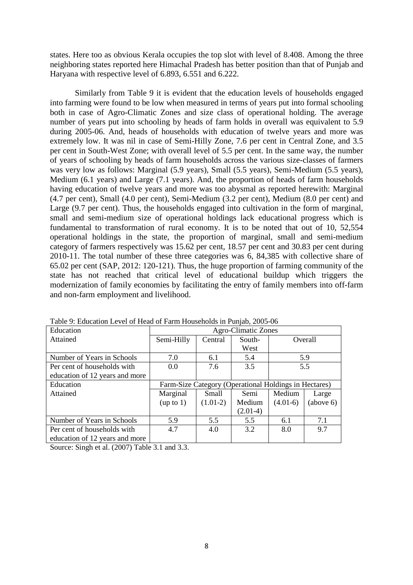states. Here too as obvious Kerala occupies the top slot with level of 8.408. Among the three neighboring states reported here Himachal Pradesh has better position than that of Punjab and Haryana with respective level of 6.893, 6.551 and 6.222.

Similarly from Table 9 it is evident that the education levels of households engaged into farming were found to be low when measured in terms of years put into formal schooling both in case of Agro-Climatic Zones and size class of operational holding. The average number of years put into schooling by heads of farm holds in overall was equivalent to 5.9 during 2005-06. And, heads of households with education of twelve years and more was extremely low. It was nil in case of Semi-Hilly Zone, 7.6 per cent in Central Zone, and 3.5 per cent in South-West Zone; with overall level of 5.5 per cent. In the same way, the number of years of schooling by heads of farm households across the various size-classes of farmers was very low as follows: Marginal (5.9 years), Small (5.5 years), Semi-Medium (5.5 years), Medium (6.1 years) and Large (7.1 years). And, the proportion of heads of farm households having education of twelve years and more was too abysmal as reported herewith: Marginal (4.7 per cent), Small (4.0 per cent), Semi-Medium (3.2 per cent), Medium (8.0 per cent) and Large (9.7 per cent). Thus, the households engaged into cultivation in the form of marginal, small and semi-medium size of operational holdings lack educational progress which is fundamental to transformation of rural economy. It is to be noted that out of 10, 52,554 operational holdings in the state, the proportion of marginal, small and semi-medium category of farmers respectively was 15.62 per cent, 18.57 per cent and 30.83 per cent during 2010-11. The total number of these three categories was 6, 84,385 with collective share of 65.02 per cent (SAP, 2012: 120-121). Thus, the huge proportion of farming community of the state has not reached that critical level of educational buildup which triggers the modernization of family economies by facilitating the entry of family members into off-farm and non-farm employment and livelihood.

| Education                      | Agro-Climatic Zones                                   |              |            |            |           |
|--------------------------------|-------------------------------------------------------|--------------|------------|------------|-----------|
| Attained                       | Semi-Hilly                                            | Central      | South-     |            | Overall   |
|                                |                                                       |              | West       |            |           |
| Number of Years in Schools     | 7.0                                                   | 6.1          | 5.4        |            | 5.9       |
| Per cent of households with    | 0.0                                                   | 7.6          | 3.5        |            | 5.5       |
| education of 12 years and more |                                                       |              |            |            |           |
| Education                      | Farm-Size Category (Operational Holdings in Hectares) |              |            |            |           |
| Attained                       | Marginal                                              | <b>Small</b> | Semi       | Medium     | Large     |
|                                | (up to 1)                                             | $(1.01-2)$   | Medium     | $(4.01-6)$ | (above 6) |
|                                |                                                       |              | $(2.01-4)$ |            |           |
| Number of Years in Schools     | 5.9                                                   | 5.5          | 5.5        | 6.1        | 7.1       |
| Per cent of households with    | 4.7                                                   | 4.0          | 3.2        | 8.0        | 9.7       |
| education of 12 years and more |                                                       |              |            |            |           |

Table 9: Education Level of Head of Farm Households in Punjab, 2005-06

Source: Singh et al. (2007) Table 3.1 and 3.3.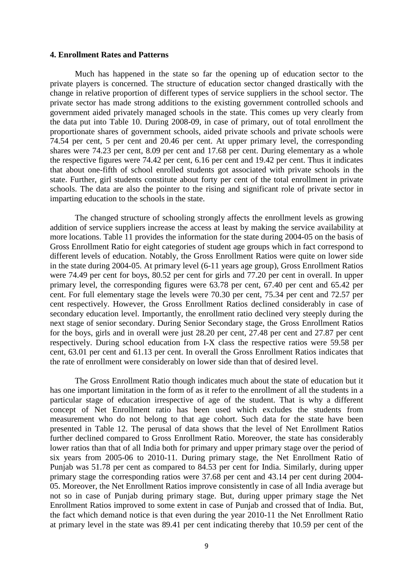#### **4. Enrollment Rates and Patterns**

Much has happened in the state so far the opening up of education sector to the private players is concerned. The structure of education sector changed drastically with the change in relative proportion of different types of service suppliers in the school sector. The private sector has made strong additions to the existing government controlled schools and government aided privately managed schools in the state. This comes up very clearly from the data put into Table 10. During 2008-09, in case of primary, out of total enrollment the proportionate shares of government schools, aided private schools and private schools were 74.54 per cent, 5 per cent and 20.46 per cent. At upper primary level, the corresponding shares were 74.23 per cent, 8.09 per cent and 17.68 per cent. During elementary as a whole the respective figures were 74.42 per cent, 6.16 per cent and 19.42 per cent. Thus it indicates that about one-fifth of school enrolled students got associated with private schools in the state. Further, girl students constitute about forty per cent of the total enrollment in private schools. The data are also the pointer to the rising and significant role of private sector in imparting education to the schools in the state.

 The changed structure of schooling strongly affects the enrollment levels as growing addition of service suppliers increase the access at least by making the service availability at more locations. Table 11 provides the information for the state during 2004-05 on the basis of Gross Enrollment Ratio for eight categories of student age groups which in fact correspond to different levels of education. Notably, the Gross Enrollment Ratios were quite on lower side in the state during 2004-05. At primary level (6-11 years age group), Gross Enrollment Ratios were 74.49 per cent for boys, 80.52 per cent for girls and 77.20 per cent in overall. In upper primary level, the corresponding figures were 63.78 per cent, 67.40 per cent and 65.42 per cent. For full elementary stage the levels were 70.30 per cent, 75.34 per cent and 72.57 per cent respectively. However, the Gross Enrollment Ratios declined considerably in case of secondary education level. Importantly, the enrollment ratio declined very steeply during the next stage of senior secondary. During Senior Secondary stage, the Gross Enrollment Ratios for the boys, girls and in overall were just 28.20 per cent, 27.48 per cent and 27.87 per cent respectively. During school education from I-X class the respective ratios were 59.58 per cent, 63.01 per cent and 61.13 per cent. In overall the Gross Enrollment Ratios indicates that the rate of enrollment were considerably on lower side than that of desired level.

 The Gross Enrollment Ratio though indicates much about the state of education but it has one important limitation in the form of as it refer to the enrollment of all the students in a particular stage of education irrespective of age of the student. That is why a different concept of Net Enrollment ratio has been used which excludes the students from measurement who do not belong to that age cohort. Such data for the state have been presented in Table 12. The perusal of data shows that the level of Net Enrollment Ratios further declined compared to Gross Enrollment Ratio. Moreover, the state has considerably lower ratios than that of all India both for primary and upper primary stage over the period of six years from 2005-06 to 2010-11. During primary stage, the Net Enrollment Ratio of Punjab was 51.78 per cent as compared to 84.53 per cent for India. Similarly, during upper primary stage the corresponding ratios were 37.68 per cent and 43.14 per cent during 2004- 05. Moreover, the Net Enrollment Ratios improve consistently in case of all India average but not so in case of Punjab during primary stage. But, during upper primary stage the Net Enrollment Ratios improved to some extent in case of Punjab and crossed that of India. But, the fact which demand notice is that even during the year 2010-11 the Net Enrollment Ratio at primary level in the state was 89.41 per cent indicating thereby that 10.59 per cent of the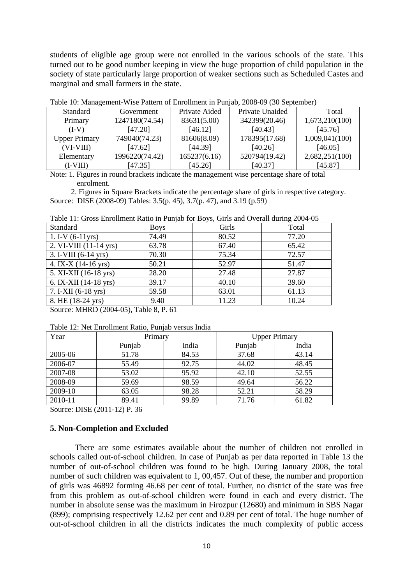students of eligible age group were not enrolled in the various schools of the state. This turned out to be good number keeping in view the huge proportion of child population in the society of state particularly large proportion of weaker sections such as Scheduled Castes and marginal and small farmers in the state.

| Standard             | Government     | Private Aided | Private Unaided | Total          |
|----------------------|----------------|---------------|-----------------|----------------|
| Primary              | 1247180(74.54) | 83631(5.00)   | 342399(20.46)   | 1,673,210(100) |
| $(I-V)$              | [47.20]        | [46.12]       | [40.43]         | [45.76]        |
| <b>Upper Primary</b> | 749040(74.23)  | 81606(8.09)   | 178395(17.68)   | 1,009,041(100) |
| (VI-VIII)            | [47.62]        | [44.39]       | [40.26]         | [46.05]        |
| Elementary           | 1996220(74.42) | 165237(6.16)  | 520794(19.42)   | 2,682,251(100) |
| (I-VIII)             | [47.35]        | [45.26]       | [40.37]         | [45.87]        |

Table 10: Management-Wise Pattern of Enrollment in Punjab, 2008-09 (30 September)

Note: 1. Figures in round brackets indicate the management wise percentage share of total enrolment.

 2. Figures in Square Brackets indicate the percentage share of girls in respective category. Source: DISE (2008-09) Tables: 3.5(p. 45), 3.7(p. 47), and 3.19 (p.59)

Table 11: Gross Enrollment Ratio in Punjab for Boys, Girls and Overall during 2004-05

| Standard                         | <b>Boys</b> | Girls | Total |
|----------------------------------|-------------|-------|-------|
| 1. I-V $(6-11\text{yrs})$        | 74.49       | 80.52 | 77.20 |
| 2. VI-VIII $(11-14 \text{ yrs})$ | 63.78       | 67.40 | 65.42 |
| 3. I-VIII $(6-14 \text{ yrs})$   | 70.30       | 75.34 | 72.57 |
| 4. IX-X (14-16 yrs)              | 50.21       | 52.97 | 51.47 |
| 5. XI-XII (16-18 yrs)            | 28.20       | 27.48 | 27.87 |
| 6. IX-XII $(14-18 \text{ yrs})$  | 39.17       | 40.10 | 39.60 |
| 7. I-XII $(6-18 \text{ yrs})$    | 59.58       | 63.01 | 61.13 |
| 8. HE (18-24 yrs)                | 9.40        | 11.23 | 10.24 |

Source: MHRD (2004-05), Table 8, P. 61

Table 12: Net Enrollment Ratio, Punjab versus India

| Year    | Primary |       | <b>Upper Primary</b> |       |  |
|---------|---------|-------|----------------------|-------|--|
|         | Punjab  | India | Punjab               | India |  |
| 2005-06 | 51.78   | 84.53 | 37.68                | 43.14 |  |
| 2006-07 | 55.49   | 92.75 | 44.02                | 48.45 |  |
| 2007-08 | 53.02   | 95.92 | 42.10                | 52.55 |  |
| 2008-09 | 59.69   | 98.59 | 49.64                | 56.22 |  |
| 2009-10 | 63.05   | 98.28 | 52.21                | 58.29 |  |
| 2010-11 | 89.41   | 99.89 | 71.76                | 61.82 |  |

Source: DISE (2011-12) P. 36

## **5. Non-Completion and Excluded**

There are some estimates available about the number of children not enrolled in schools called out-of-school children. In case of Punjab as per data reported in Table 13 the number of out-of-school children was found to be high. During January 2008, the total number of such children was equivalent to 1, 00,457. Out of these, the number and proportion of girls was 46892 forming 46.68 per cent of total. Further, no district of the state was free from this problem as out-of-school children were found in each and every district. The number in absolute sense was the maximum in Firozpur (12680) and minimum in SBS Nagar (899); comprising respectively 12.62 per cent and 0.89 per cent of total. The huge number of out-of-school children in all the districts indicates the much complexity of public access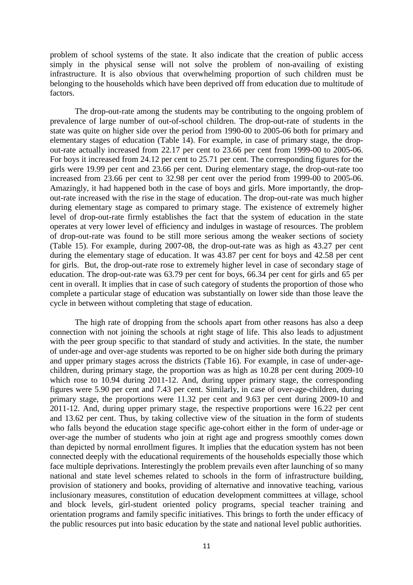problem of school systems of the state. It also indicate that the creation of public access simply in the physical sense will not solve the problem of non-availing of existing infrastructure. It is also obvious that overwhelming proportion of such children must be belonging to the households which have been deprived off from education due to multitude of factors.

The drop-out-rate among the students may be contributing to the ongoing problem of prevalence of large number of out-of-school children. The drop-out-rate of students in the state was quite on higher side over the period from 1990-00 to 2005-06 both for primary and elementary stages of education (Table 14). For example, in case of primary stage, the dropout-rate actually increased from 22.17 per cent to 23.66 per cent from 1999-00 to 2005-06. For boys it increased from 24.12 per cent to 25.71 per cent. The corresponding figures for the girls were 19.99 per cent and 23.66 per cent. During elementary stage, the drop-out-rate too increased from 23.66 per cent to 32.98 per cent over the period from 1999-00 to 2005-06. Amazingly, it had happened both in the case of boys and girls. More importantly, the dropout-rate increased with the rise in the stage of education. The drop-out-rate was much higher during elementary stage as compared to primary stage. The existence of extremely higher level of drop-out-rate firmly establishes the fact that the system of education in the state operates at very lower level of efficiency and indulges in wastage of resources. The problem of drop-out-rate was found to be still more serious among the weaker sections of society (Table 15). For example, during 2007-08, the drop-out-rate was as high as 43.27 per cent during the elementary stage of education. It was 43.87 per cent for boys and 42.58 per cent for girls. But, the drop-out-rate rose to extremely higher level in case of secondary stage of education. The drop-out-rate was 63.79 per cent for boys, 66.34 per cent for girls and 65 per cent in overall. It implies that in case of such category of students the proportion of those who complete a particular stage of education was substantially on lower side than those leave the cycle in between without completing that stage of education.

The high rate of dropping from the schools apart from other reasons has also a deep connection with not joining the schools at right stage of life. This also leads to adjustment with the peer group specific to that standard of study and activities. In the state, the number of under-age and over-age students was reported to be on higher side both during the primary and upper primary stages across the districts (Table 16). For example, in case of under-agechildren, during primary stage, the proportion was as high as 10.28 per cent during 2009-10 which rose to 10.94 during 2011-12. And, during upper primary stage, the corresponding figures were 5.90 per cent and 7.43 per cent. Similarly, in case of over-age-children, during primary stage, the proportions were 11.32 per cent and 9.63 per cent during 2009-10 and 2011-12. And, during upper primary stage, the respective proportions were 16.22 per cent and 13.62 per cent. Thus, by taking collective view of the situation in the form of students who falls beyond the education stage specific age-cohort either in the form of under-age or over-age the number of students who join at right age and progress smoothly comes down than depicted by normal enrollment figures. It implies that the education system has not been connected deeply with the educational requirements of the households especially those which face multiple deprivations. Interestingly the problem prevails even after launching of so many national and state level schemes related to schools in the form of infrastructure building, provision of stationery and books, providing of alternative and innovative teaching, various inclusionary measures, constitution of education development committees at village, school and block levels, girl-student oriented policy programs, special teacher training and orientation programs and family specific initiatives. This brings to forth the under efficacy of the public resources put into basic education by the state and national level public authorities.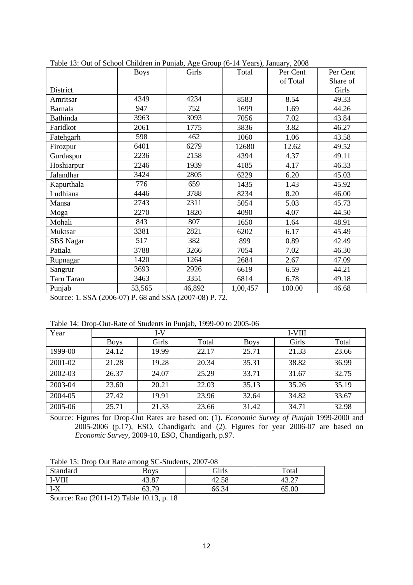|                  | <b>Boys</b> | ⇁<br>$-$ - $  \sim$ $-$<br>Girls | . , ,<br>Total | Per Cent | Per Cent |
|------------------|-------------|----------------------------------|----------------|----------|----------|
|                  |             |                                  |                | of Total | Share of |
| District         |             |                                  |                |          | Girls    |
| Amritsar         | 4349        | 4234                             | 8583           | 8.54     | 49.33    |
| Barnala          | 947         | 752                              | 1699           | 1.69     | 44.26    |
| <b>Bathinda</b>  | 3963        | 3093                             | 7056           | 7.02     | 43.84    |
| Faridkot         | 2061        | 1775                             | 3836           | 3.82     | 46.27    |
| Fatehgarh        | 598         | 462                              | 1060           | 1.06     | 43.58    |
| Firozpur         | 6401        | 6279                             | 12680          | 12.62    | 49.52    |
| Gurdaspur        | 2236        | 2158                             | 4394           | 4.37     | 49.11    |
| Hoshiarpur       | 2246        | 1939                             | 4185           | 4.17     | 46.33    |
| Jalandhar        | 3424        | 2805                             | 6229           | 6.20     | 45.03    |
| Kapurthala       | 776         | 659                              | 1435           | 1.43     | 45.92    |
| Ludhiana         | 4446        | 3788                             | 8234           | 8.20     | 46.00    |
| Mansa            | 2743        | 2311                             | 5054           | 5.03     | 45.73    |
| Moga             | 2270        | 1820                             | 4090           | 4.07     | 44.50    |
| Mohali           | 843         | 807                              | 1650           | 1.64     | 48.91    |
| Muktsar          | 3381        | 2821                             | 6202           | 6.17     | 45.49    |
| <b>SBS</b> Nagar | 517         | 382                              | 899            | 0.89     | 42.49    |
| Patiala          | 3788        | 3266                             | 7054           | 7.02     | 46.30    |
| Rupnagar         | 1420        | 1264                             | 2684           | 2.67     | 47.09    |
| Sangrur          | 3693        | 2926                             | 6619           | 6.59     | 44.21    |
| Tarn Taran       | 3463        | 3351                             | 6814           | 6.78     | 49.18    |
| Punjab           | 53,565      | 46,892                           | 1,00,457       | 100.00   | 46.68    |

Table 13: Out of School Children in Punjab, Age Group (6-14 Years), January, 2008

Source: 1. SSA (2006-07) P. 68 and SSA (2007-08) P. 72.

Table 14: Drop-Out-Rate of Students in Punjab, 1999-00 to 2005-06

| Year    |             | $I-V$ |       |             |       |       |
|---------|-------------|-------|-------|-------------|-------|-------|
|         | <b>Boys</b> | Girls | Total | <b>Boys</b> | Girls | Total |
| 1999-00 | 24.12       | 19.99 | 22.17 | 25.71       | 21.33 | 23.66 |
| 2001-02 | 21.28       | 19.28 | 20.34 | 35.31       | 38.82 | 36.99 |
| 2002-03 | 26.37       | 24.07 | 25.29 | 33.71       | 31.67 | 32.75 |
| 2003-04 | 23.60       | 20.21 | 22.03 | 35.13       | 35.26 | 35.19 |
| 2004-05 | 27.42       | 19.91 | 23.96 | 32.64       | 34.82 | 33.67 |
| 2005-06 | 25.71       | 21.33 | 23.66 | 31.42       | 34.71 | 32.98 |

Source: Figures for Drop-Out Rates are based on: (1). *Economic Survey of Punjab* 1999-2000 and 2005-2006 (p.17), ESO, Chandigarh; and (2). Figures for year 2006-07 are based on *Economic Survey*, 2009-10, ESO, Chandigarh, p.97.

|  |  | Table 15: Drop Out Rate among SC-Students, 2007-08 |  |
|--|--|----------------------------------------------------|--|
|--|--|----------------------------------------------------|--|

| Standard | <b>Boys</b>      | <b>Girls</b> | Total         |
|----------|------------------|--------------|---------------|
| I-VIII   | $\circ$<br>، ٤.٥ | 42.58        | 10.27<br>43.Z |
| $I-X$    | 70               | 66.34        | 55.00         |

Source: Rao (2011-12) Table 10.13, p. 18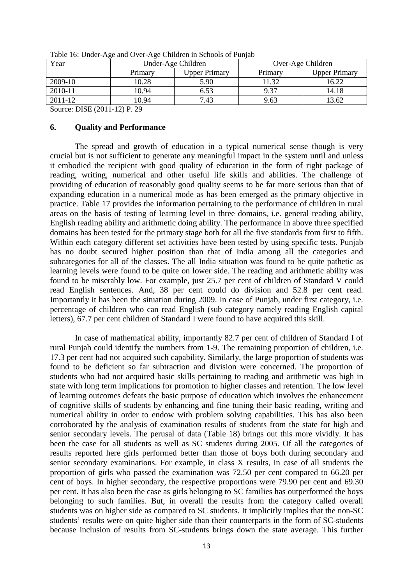| Year    | Under-Age Children |                      | Over-Age Children |                      |  |
|---------|--------------------|----------------------|-------------------|----------------------|--|
|         | Primary            | <b>Upper Primary</b> | Primary           | <b>Upper Primary</b> |  |
| 2009-10 | 10.28              | 5.90                 | 1.32              | 16.22                |  |
| 2010-11 | 10.94              | 6.53                 | 9.37              | 14.18                |  |
| 2011-12 | 10.94              | 7.43                 | 9.63              | 13.62                |  |

Table 16: Under-Age and Over-Age Children in Schools of Punjab

Source: DISE (2011-12) P. 29

#### **6. Quality and Performance**

The spread and growth of education in a typical numerical sense though is very crucial but is not sufficient to generate any meaningful impact in the system until and unless it embodied the recipient with good quality of education in the form of right package of reading, writing, numerical and other useful life skills and abilities. The challenge of providing of education of reasonably good quality seems to be far more serious than that of expanding education in a numerical mode as has been emerged as the primary objective in practice. Table 17 provides the information pertaining to the performance of children in rural areas on the basis of testing of learning level in three domains, i.e. general reading ability, English reading ability and arithmetic doing ability. The performance in above three specified domains has been tested for the primary stage both for all the five standards from first to fifth. Within each category different set activities have been tested by using specific tests. Punjab has no doubt secured higher position than that of India among all the categories and subcategories for all of the classes. The all India situation was found to be quite pathetic as learning levels were found to be quite on lower side. The reading and arithmetic ability was found to be miserably low. For example, just 25.7 per cent of children of Standard V could read English sentences. And, 38 per cent could do division and 52.8 per cent read. Importantly it has been the situation during 2009. In case of Punjab, under first category, i.e. percentage of children who can read English (sub category namely reading English capital letters), 67.7 per cent children of Standard I were found to have acquired this skill.

In case of mathematical ability, importantly 82.7 per cent of children of Standard I of rural Punjab could identify the numbers from 1-9. The remaining proportion of children, i.e. 17.3 per cent had not acquired such capability. Similarly, the large proportion of students was found to be deficient so far subtraction and division were concerned. The proportion of students who had not acquired basic skills pertaining to reading and arithmetic was high in state with long term implications for promotion to higher classes and retention. The low level of learning outcomes defeats the basic purpose of education which involves the enhancement of cognitive skills of students by enhancing and fine tuning their basic reading, writing and numerical ability in order to endow with problem solving capabilities. This has also been corroborated by the analysis of examination results of students from the state for high and senior secondary levels. The perusal of data (Table 18) brings out this more vividly. It has been the case for all students as well as SC students during 2005. Of all the categories of results reported here girls performed better than those of boys both during secondary and senior secondary examinations. For example, in class X results, in case of all students the proportion of girls who passed the examination was 72.50 per cent compared to 66.20 per cent of boys. In higher secondary, the respective proportions were 79.90 per cent and 69.30 per cent. It has also been the case as girls belonging to SC families has outperformed the boys belonging to such families. But, in overall the results from the category called overall students was on higher side as compared to SC students. It implicitly implies that the non-SC students' results were on quite higher side than their counterparts in the form of SC-students because inclusion of results from SC-students brings down the state average. This further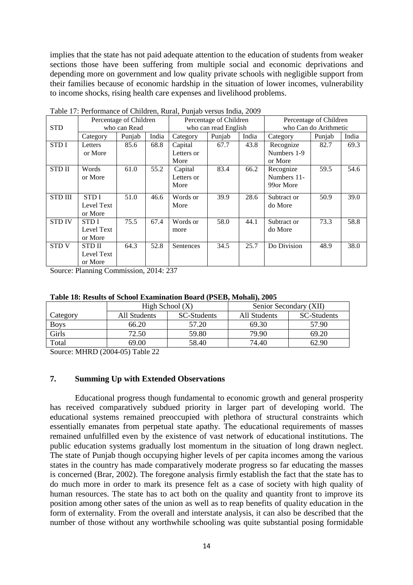implies that the state has not paid adequate attention to the education of students from weaker sections those have been suffering from multiple social and economic deprivations and depending more on government and low quality private schools with negligible support from their families because of economic hardship in the situation of lower incomes, vulnerability to income shocks, rising health care expenses and livelihood problems.

|                |               | Percentage of Children |       | Percentage of Children |        |                       | Percentage of Children |        |       |
|----------------|---------------|------------------------|-------|------------------------|--------|-----------------------|------------------------|--------|-------|
| <b>STD</b>     |               | who can Read           |       | who can read English   |        | who Can do Arithmetic |                        |        |       |
|                | Category      | Punjab                 | India | Category               | Punjab | India                 | Category               | Punjab | India |
| <b>STDI</b>    | Letters       | 85.6                   | 68.8  | Capital                | 67.7   | 43.8                  | Recognize              | 82.7   | 69.3  |
|                | or More       |                        |       | Letters or             |        |                       | Numbers 1-9            |        |       |
|                |               |                        |       | More                   |        |                       | or More                |        |       |
| <b>STD II</b>  | Words         | 61.0                   | 55.2  | Capital                | 83.4   | 66.2                  | Recognize              | 59.5   | 54.6  |
|                | or More       |                        |       | Letters or             |        |                       | Numbers 11-            |        |       |
|                |               |                        |       | More                   |        |                       | 99or More              |        |       |
| <b>STD III</b> | <b>STDI</b>   | 51.0                   | 46.6  | Words or               | 39.9   | 28.6                  | Subtract or            | 50.9   | 39.0  |
|                | Level Text    |                        |       | More                   |        |                       | do More                |        |       |
|                | or More       |                        |       |                        |        |                       |                        |        |       |
| <b>STD IV</b>  | <b>STDI</b>   | 75.5                   | 67.4  | Words or               | 58.0   | 44.1                  | Subtract or            | 73.3   | 58.8  |
|                | Level Text    |                        |       | more                   |        |                       | do More                |        |       |
|                | or More       |                        |       |                        |        |                       |                        |        |       |
| <b>STDV</b>    | <b>STD II</b> | 64.3                   | 52.8  | Sentences              | 34.5   | 25.7                  | Do Division            | 48.9   | 38.0  |
|                | Level Text    |                        |       |                        |        |                       |                        |        |       |
|                | or More       |                        |       |                        |        |                       |                        |        |       |

Table 17: Performance of Children, Rural, Punjab versus India, 2009

Source: Planning Commission, 2014: 237

|             |              | High School $(X)$  | Senior Secondary (XII) |             |  |
|-------------|--------------|--------------------|------------------------|-------------|--|
| Category    | All Students | <b>SC-Students</b> | All Students           | SC-Students |  |
| <b>Boys</b> | 66.20        | 57.20              | 69.30                  | 57.90       |  |
| Girls       | 72.50        | 59.80              | 79.90                  | 69.20       |  |
| Total       | 69.00        | 58.40              | 74.40                  | 62.90       |  |

Source: MHRD (2004-05) Table 22

## **7. Summing Up with Extended Observations**

Educational progress though fundamental to economic growth and general prosperity has received comparatively subdued priority in larger part of developing world. The educational systems remained preoccupied with plethora of structural constraints which essentially emanates from perpetual state apathy. The educational requirements of masses remained unfulfilled even by the existence of vast network of educational institutions. The public education systems gradually lost momentum in the situation of long drawn neglect. The state of Punjab though occupying higher levels of per capita incomes among the various states in the country has made comparatively moderate progress so far educating the masses is concerned (Brar, 2002). The foregone analysis firmly establish the fact that the state has to do much more in order to mark its presence felt as a case of society with high quality of human resources. The state has to act both on the quality and quantity front to improve its position among other sates of the union as well as to reap benefits of quality education in the form of externality. From the overall and interstate analysis, it can also be described that the number of those without any worthwhile schooling was quite substantial posing formidable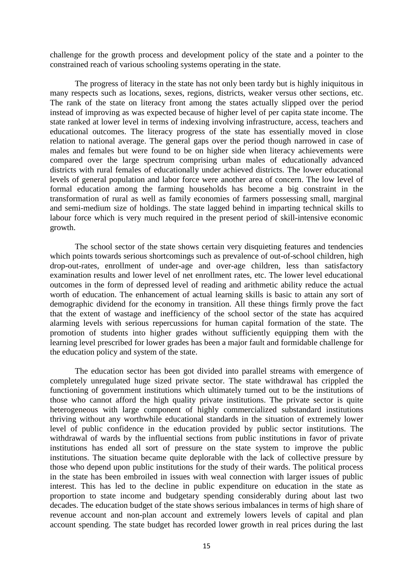challenge for the growth process and development policy of the state and a pointer to the constrained reach of various schooling systems operating in the state.

 The progress of literacy in the state has not only been tardy but is highly iniquitous in many respects such as locations, sexes, regions, districts, weaker versus other sections, etc. The rank of the state on literacy front among the states actually slipped over the period instead of improving as was expected because of higher level of per capita state income. The state ranked at lower level in terms of indexing involving infrastructure, access, teachers and educational outcomes. The literacy progress of the state has essentially moved in close relation to national average. The general gaps over the period though narrowed in case of males and females but were found to be on higher side when literacy achievements were compared over the large spectrum comprising urban males of educationally advanced districts with rural females of educationally under achieved districts. The lower educational levels of general population and labor force were another area of concern. The low level of formal education among the farming households has become a big constraint in the transformation of rural as well as family economies of farmers possessing small, marginal and semi-medium size of holdings. The state lagged behind in imparting technical skills to labour force which is very much required in the present period of skill-intensive economic growth.

 The school sector of the state shows certain very disquieting features and tendencies which points towards serious shortcomings such as prevalence of out-of-school children, high drop-out-rates, enrollment of under-age and over-age children, less than satisfactory examination results and lower level of net enrollment rates, etc. The lower level educational outcomes in the form of depressed level of reading and arithmetic ability reduce the actual worth of education. The enhancement of actual learning skills is basic to attain any sort of demographic dividend for the economy in transition. All these things firmly prove the fact that the extent of wastage and inefficiency of the school sector of the state has acquired alarming levels with serious repercussions for human capital formation of the state. The promotion of students into higher grades without sufficiently equipping them with the learning level prescribed for lower grades has been a major fault and formidable challenge for the education policy and system of the state.

 The education sector has been got divided into parallel streams with emergence of completely unregulated huge sized private sector. The state withdrawal has crippled the functioning of government institutions which ultimately turned out to be the institutions of those who cannot afford the high quality private institutions. The private sector is quite heterogeneous with large component of highly commercialized substandard institutions thriving without any worthwhile educational standards in the situation of extremely lower level of public confidence in the education provided by public sector institutions. The withdrawal of wards by the influential sections from public institutions in favor of private institutions has ended all sort of pressure on the state system to improve the public institutions. The situation became quite deplorable with the lack of collective pressure by those who depend upon public institutions for the study of their wards. The political process in the state has been embroiled in issues with weal connection with larger issues of public interest. This has led to the decline in public expenditure on education in the state as proportion to state income and budgetary spending considerably during about last two decades. The education budget of the state shows serious imbalances in terms of high share of revenue account and non-plan account and extremely lowers levels of capital and plan account spending. The state budget has recorded lower growth in real prices during the last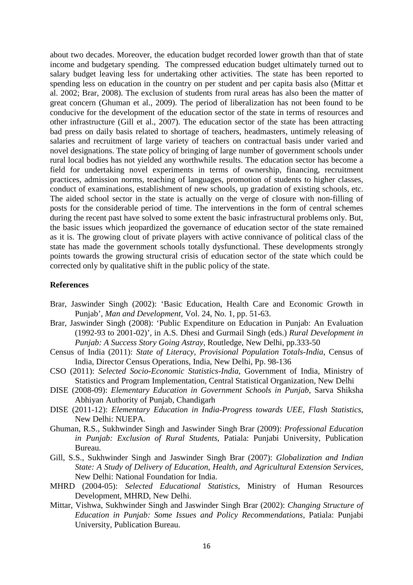about two decades. Moreover, the education budget recorded lower growth than that of state income and budgetary spending. The compressed education budget ultimately turned out to salary budget leaving less for undertaking other activities. The state has been reported to spending less on education in the country on per student and per capita basis also (Mittar et al. 2002; Brar, 2008). The exclusion of students from rural areas has also been the matter of great concern (Ghuman et al., 2009). The period of liberalization has not been found to be conducive for the development of the education sector of the state in terms of resources and other infrastructure (Gill et al., 2007). The education sector of the state has been attracting bad press on daily basis related to shortage of teachers, headmasters, untimely releasing of salaries and recruitment of large variety of teachers on contractual basis under varied and novel designations. The state policy of bringing of large number of government schools under rural local bodies has not yielded any worthwhile results. The education sector has become a field for undertaking novel experiments in terms of ownership, financing, recruitment practices, admission norms, teaching of languages, promotion of students to higher classes, conduct of examinations, establishment of new schools, up gradation of existing schools, etc. The aided school sector in the state is actually on the verge of closure with non-filling of posts for the considerable period of time. The interventions in the form of central schemes during the recent past have solved to some extent the basic infrastructural problems only. But, the basic issues which jeopardized the governance of education sector of the state remained as it is. The growing clout of private players with active connivance of political class of the state has made the government schools totally dysfunctional. These developments strongly points towards the growing structural crisis of education sector of the state which could be corrected only by qualitative shift in the public policy of the state.

#### **References**

- Brar, Jaswinder Singh (2002): 'Basic Education, Health Care and Economic Growth in Punjab', *Man and Development*, Vol. 24, No. 1, pp. 51-63.
- Brar, Jaswinder Singh (2008): 'Public Expenditure on Education in Punjab: An Evaluation (1992-93 to 2001-02)', in A.S. Dhesi and Gurmail Singh (eds.) *Rural Development in Punjab: A Success Story Going Astray*, Routledge, New Delhi, pp.333-50
- Census of India (2011): *State of Literacy, Provisional Population Totals-India*, Census of India, Director Census Operations, India, New Delhi, Pp. 98-136
- CSO (2011): *Selected Socio-Economic Statistics-India*, Government of India, Ministry of Statistics and Program Implementation, Central Statistical Organization, New Delhi
- DISE (2008-09): *Elementary Education in Government Schools in Punjab*, Sarva Shiksha Abhiyan Authority of Punjab, Chandigarh
- DISE (2011-12): *Elementary Education in India-Progress towards UEE, Flash Statistics*, New Delhi: NUEPA.
- Ghuman, R.S., Sukhwinder Singh and Jaswinder Singh Brar (2009): *Professional Education in Punjab: Exclusion of Rural Students*, Patiala: Punjabi University, Publication Bureau.
- Gill, S.S., Sukhwinder Singh and Jaswinder Singh Brar (2007): *Globalization and Indian State: A Study of Delivery of Education, Health, and Agricultural Extension Services*, New Delhi: National Foundation for India.
- MHRD (2004-05): *Selected Educational Statistics*, Ministry of Human Resources Development, MHRD, New Delhi.
- Mittar, Vishwa, Sukhwinder Singh and Jaswinder Singh Brar (2002): *Changing Structure of Education in Punjab: Some Issues and Policy Recommendations*, Patiala: Punjabi University, Publication Bureau.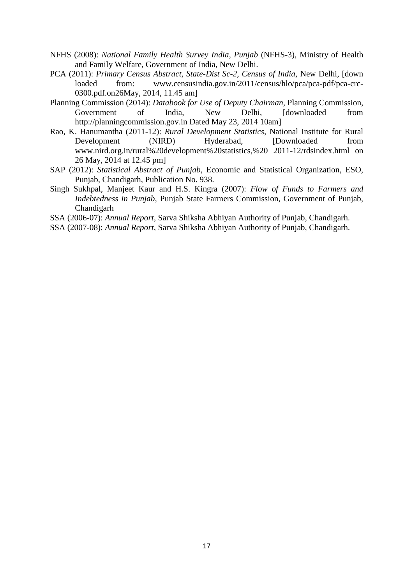- NFHS (2008): *National Family Health Survey India, Punjab* (NFHS-3), Ministry of Health and Family Welfare, Government of India, New Delhi.
- PCA (2011): *Primary Census Abstract, State-Dist Sc-2, Census of India*, New Delhi, [down loaded from: www.censusindia.gov.in/2011/census/hlo/pca/pca-pdf/pca-crc-0300.pdf.on26May, 2014, 11.45 am]
- Planning Commission (2014): *Databook for Use of Deputy Chairman*, Planning Commission, Government of India, New Delhi, [downloaded from http://planningcommission.gov.in Dated May 23, 2014 10am]
- Rao, K. Hanumantha (2011-12): *Rural Development Statistics*, National Institute for Rural Development (NIRD) Hyderabad, [Downloaded from www.nird.org.in/rural%20development%20statistics,%20 2011-12/rdsindex.html on 26 May, 2014 at 12.45 pm]
- SAP (2012): *Statistical Abstract of Punjab*, Economic and Statistical Organization, ESO, Punjab, Chandigarh, Publication No. 938.
- Singh Sukhpal, Manjeet Kaur and H.S. Kingra (2007): *Flow of Funds to Farmers and Indebtedness in Punjab*, Punjab State Farmers Commission, Government of Punjab, Chandigarh

SSA (2006-07): *Annual Report,* Sarva Shiksha Abhiyan Authority of Punjab, Chandigarh.

SSA (2007-08): *Annual Report,* Sarva Shiksha Abhiyan Authority of Punjab, Chandigarh.